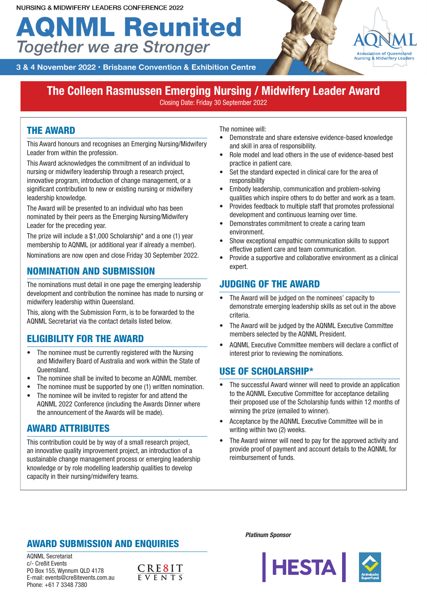# **AQNML Reunited Together we are Stronger**



3 & 4 November 2022 · Brisbane Convention & Exhibition Centre

### **The Colleen Rasmussen Emerging Nursing / Midwifery Leader Award**

Closing Date: Friday 30 September 2022

#### THE AWARD

This Award honours and recognises an Emerging Nursing/Midwifery Leader from within the profession.

This Award acknowledges the commitment of an individual to nursing or midwifery leadership through a research project, innovative program, introduction of change management, or a significant contribution to new or existing nursing or midwifery leadership knowledge.

The Award will be presented to an individual who has been nominated by their peers as the Emerging Nursing/Midwifery Leader for the preceding year.

The prize will include a \$1,000 Scholarship\* and a one (1) year membership to AQNML (or additional year if already a member). Nominations are now open and close Friday 30 September 2022.

#### NOMINATION AND SUBMISSION

The nominations must detail in one page the emerging leadership development and contribution the nominee has made to nursing or midwifery leadership within Queensland.

This, along with the Submission Form, is to be forwarded to the AQNML Secretariat via the contact details listed below.

#### ELIGIBILITY FOR THE AWARD

- The nominee must be currently registered with the Nursing and Midwifery Board of Australia and work within the State of Queensland.
- The nominee shall be invited to become an AQNML member.
- The nominee must be supported by one (1) written nomination.
- The nominee will be invited to register for and attend the AQNML 2022 Conference (including the Awards Dinner where the announcement of the Awards will be made).

#### AWARD ATTRIBUTES

This contribution could be by way of a small research project, an innovative quality improvement project, an introduction of a sustainable change management process or emerging leadership knowledge or by role modelling leadership qualities to develop capacity in their nursing/midwifery teams.

The nominee will:

- Demonstrate and share extensive evidence-based knowledge and skill in area of responsibility.
- Role model and lead others in the use of evidence-based best practice in patient care.
- Set the standard expected in clinical care for the area of responsibility
- Embody leadership, communication and problem-solving qualities which inspire others to do better and work as a team.
- Provides feedback to multiple staff that promotes professional development and continuous learning over time.
- Demonstrates commitment to create a caring team environment.
- Show exceptional empathic communication skills to support effective patient care and team communication.
- Provide a supportive and collaborative environment as a clinical expert.

#### JUDGING OF THE AWARD

- The Award will be judged on the nominees' capacity to demonstrate emerging leadership skills as set out in the above criteria.
- The Award will be judged by the AQNML Executive Committee members selected by the AQNML President.
- AQNML Executive Committee members will declare a conflict of interest prior to reviewing the nominations.

#### USE OF SCHOLARSHIP\*

- The successful Award winner will need to provide an application to the AQNML Executive Committee for acceptance detailing their proposed use of the Scholarship funds within 12 months of winning the prize (emailed to winner).
- Acceptance by the AQNML Executive Committee will be in writing within two (2) weeks.
- The Award winner will need to pay for the approved activity and provide proof of payment and account details to the AQNML for reimbursement of funds.

#### AWARD SUBMISSION AND ENQUIRIES

AQNML Secretariat c/- Cre8it Events PO Box 155, Wynnum QLD 4178 E-mail: events@cre8itevents.com.au Phone: +61 7 3348 7380



*Platinum Sponsor*